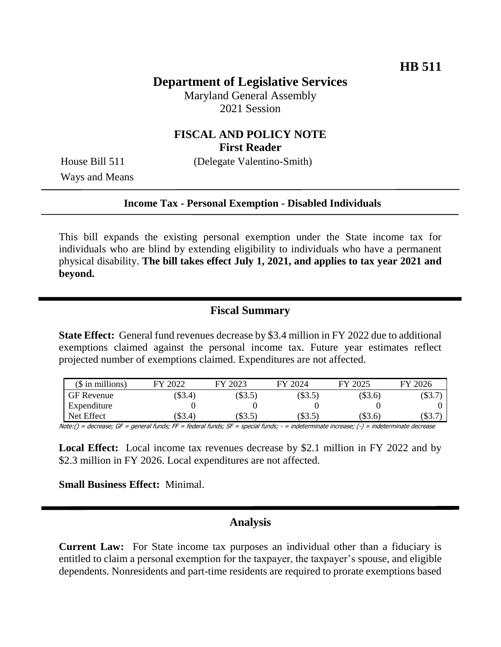# **Department of Legislative Services**

Maryland General Assembly 2021 Session

### **FISCAL AND POLICY NOTE First Reader**

House Bill 511 (Delegate Valentino-Smith)

Ways and Means

#### **Income Tax - Personal Exemption - Disabled Individuals**

This bill expands the existing personal exemption under the State income tax for individuals who are blind by extending eligibility to individuals who have a permanent physical disability. **The bill takes effect July 1, 2021, and applies to tax year 2021 and beyond.** 

### **Fiscal Summary**

**State Effect:** General fund revenues decrease by \$3.4 million in FY 2022 due to additional exemptions claimed against the personal income tax. Future year estimates reflect projected number of exemptions claimed. Expenditures are not affected.

| $($$ in millions) | 2022<br>ГV.   | 2023<br>FY | FY 2024 | 2025<br><b>FY</b> | FY 2026    |
|-------------------|---------------|------------|---------|-------------------|------------|
| GF Revenue        | \$3.4)        | \$3.5)     | \$3.5   | (\$3.6)           | $($ \$3.7) |
| Expenditure       |               |            |         |                   |            |
| Net Effect        | $($ \$3.4 $)$ | $($ \$3.5) | \$3.5   | $(\$3.6)$         | 5.7        |

Note:() = decrease; GF = general funds; FF = federal funds; SF = special funds; - = indeterminate increase; (-) = indeterminate decrease

**Local Effect:** Local income tax revenues decrease by \$2.1 million in FY 2022 and by \$2.3 million in FY 2026. Local expenditures are not affected.

**Small Business Effect:** Minimal.

# **Analysis**

**Current Law:** For State income tax purposes an individual other than a fiduciary is entitled to claim a personal exemption for the taxpayer, the taxpayer's spouse, and eligible dependents. Nonresidents and part-time residents are required to prorate exemptions based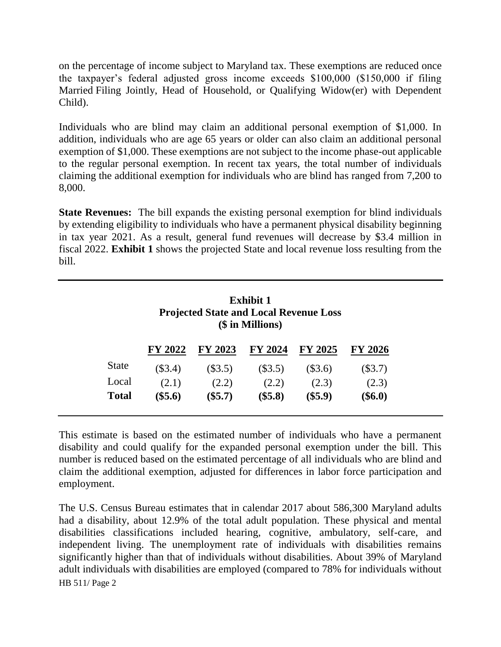on the percentage of income subject to Maryland tax. These exemptions are reduced once the taxpayer's federal adjusted gross income exceeds \$100,000 (\$150,000 if filing Married Filing Jointly, Head of Household, or Qualifying Widow(er) with Dependent Child).

Individuals who are blind may claim an additional personal exemption of \$1,000. In addition, individuals who are age 65 years or older can also claim an additional personal exemption of \$1,000. These exemptions are not subject to the income phase-out applicable to the regular personal exemption. In recent tax years, the total number of individuals claiming the additional exemption for individuals who are blind has ranged from 7,200 to 8,000.

**State Revenues:** The bill expands the existing personal exemption for blind individuals by extending eligibility to individuals who have a permanent physical disability beginning in tax year 2021. As a result, general fund revenues will decrease by \$3.4 million in fiscal 2022. **Exhibit 1** shows the projected State and local revenue loss resulting from the bill.

|              | <b>Exhibit 1</b><br><b>Projected State and Local Revenue Loss</b><br>(\$ in Millions) |           |           |                |           |  |  |
|--------------|---------------------------------------------------------------------------------------|-----------|-----------|----------------|-----------|--|--|
|              | <b>FY 2022</b>                                                                        | FY 2023   | FY 2024   | <b>FY 2025</b> | FY 2026   |  |  |
| <b>State</b> | $(\$3.4)$                                                                             | $(\$3.5)$ | (\$3.5)   | $(\$3.6)$      | $(\$3.7)$ |  |  |
| Local        | (2.1)                                                                                 | (2.2)     | (2.2)     | (2.3)          | (2.3)     |  |  |
| <b>Total</b> | $(\$5.6)$                                                                             | $(\$5.7)$ | $(\$5.8)$ | $(\$5.9)$      | $(\$6.0)$ |  |  |

This estimate is based on the estimated number of individuals who have a permanent disability and could qualify for the expanded personal exemption under the bill. This number is reduced based on the estimated percentage of all individuals who are blind and claim the additional exemption, adjusted for differences in labor force participation and employment.

HB 511/ Page 2 The U.S. Census Bureau estimates that in calendar 2017 about 586,300 Maryland adults had a disability, about 12.9% of the total adult population. These physical and mental disabilities classifications included hearing, cognitive, ambulatory, self-care, and independent living. The unemployment rate of individuals with disabilities remains significantly higher than that of individuals without disabilities. About 39% of Maryland adult individuals with disabilities are employed (compared to 78% for individuals without